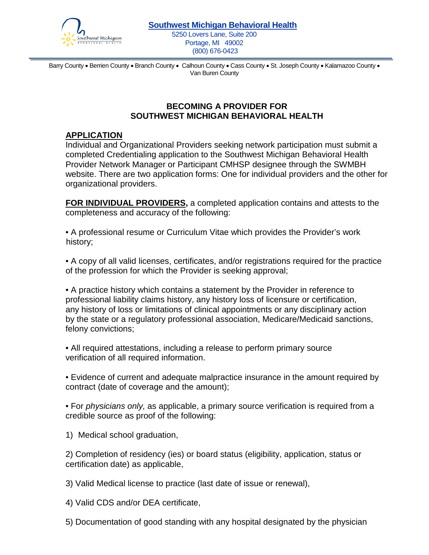

5250 Lovers Lane, Suite 200 Portage, MI 49002 (800) 676-0423

Barry County • Berrien County • Branch County • Calhoun County • Cass County • St. Joseph County • Kalamazoo County • Van Buren County

## **BECOMING A PROVIDER FOR SOUTHWEST MICHIGAN BEHAVIORAL HEALTH**

## **APPLICATION**

Individual and Organizational Providers seeking network participation must submit a completed Credentialing application to the Southwest Michigan Behavioral Health Provider Network Manager or Participant CMHSP designee through the SWMBH website. There are two application forms: One for individual providers and the other for organizational providers.

**FOR INDIVIDUAL PROVIDERS,** a completed application contains and attests to the completeness and accuracy of the following:

• A professional resume or Curriculum Vitae which provides the Provider's work history;

• A copy of all valid licenses, certificates, and/or registrations required for the practice of the profession for which the Provider is seeking approval;

• A practice history which contains a statement by the Provider in reference to professional liability claims history, any history loss of licensure or certification, any history of loss or limitations of clinical appointments or any disciplinary action by the state or a regulatory professional association, Medicare/Medicaid sanctions, felony convictions;

• All required attestations, including a release to perform primary source verification of all required information.

• Evidence of current and adequate malpractice insurance in the amount required by contract (date of coverage and the amount);

• For *physicians only,* as applicable, a primary source verification is required from a credible source as proof of the following:

1) Medical school graduation,

2) Completion of residency (ies) or board status (eligibility, application, status or certification date) as applicable,

3) Valid Medical license to practice (last date of issue or renewal),

4) Valid CDS and/or DEA certificate,

5) Documentation of good standing with any hospital designated by the physician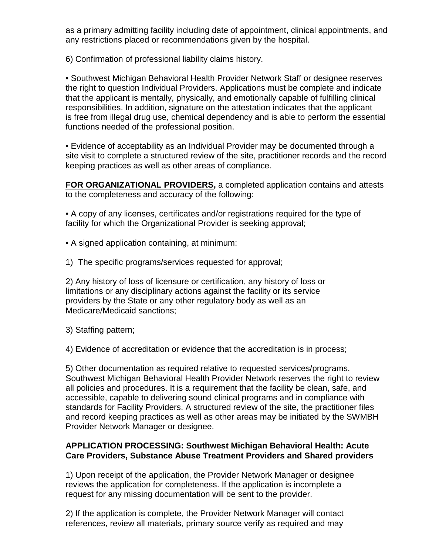as a primary admitting facility including date of appointment, clinical appointments, and any restrictions placed or recommendations given by the hospital.

6) Confirmation of professional liability claims history.

• Southwest Michigan Behavioral Health Provider Network Staff or designee reserves the right to question Individual Providers. Applications must be complete and indicate that the applicant is mentally, physically, and emotionally capable of fulfilling clinical responsibilities. In addition, signature on the attestation indicates that the applicant is free from illegal drug use, chemical dependency and is able to perform the essential functions needed of the professional position.

• Evidence of acceptability as an Individual Provider may be documented through a site visit to complete a structured review of the site, practitioner records and the record keeping practices as well as other areas of compliance.

**FOR ORGANIZATIONAL PROVIDERS,** a completed application contains and attests to the completeness and accuracy of the following:

• A copy of any licenses, certificates and/or registrations required for the type of facility for which the Organizational Provider is seeking approval;

• A signed application containing, at minimum:

1) The specific programs/services requested for approval;

2) Any history of loss of licensure or certification, any history of loss or limitations or any disciplinary actions against the facility or its service providers by the State or any other regulatory body as well as an Medicare/Medicaid sanctions;

3) Staffing pattern;

4) Evidence of accreditation or evidence that the accreditation is in process;

5) Other documentation as required relative to requested services/programs. Southwest Michigan Behavioral Health Provider Network reserves the right to review all policies and procedures. It is a requirement that the facility be clean, safe, and accessible, capable to delivering sound clinical programs and in compliance with standards for Facility Providers. A structured review of the site, the practitioner files and record keeping practices as well as other areas may be initiated by the SWMBH Provider Network Manager or designee.

## **APPLICATION PROCESSING: Southwest Michigan Behavioral Health: Acute Care Providers, Substance Abuse Treatment Providers and Shared providers**

1) Upon receipt of the application, the Provider Network Manager or designee reviews the application for completeness. If the application is incomplete a request for any missing documentation will be sent to the provider.

2) If the application is complete, the Provider Network Manager will contact references, review all materials, primary source verify as required and may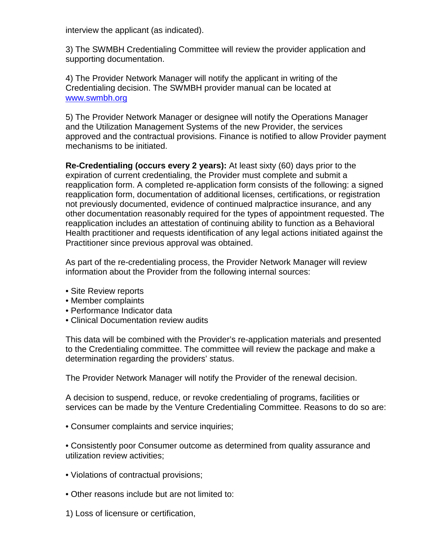interview the applicant (as indicated).

3) The SWMBH Credentialing Committee will review the provider application and supporting documentation.

4) The Provider Network Manager will notify the applicant in writing of the Credentialing decision. The SWMBH provider manual can be located at [www.swmbh.org](http://www.swmbh.org/)

5) The Provider Network Manager or designee will notify the Operations Manager and the Utilization Management Systems of the new Provider, the services approved and the contractual provisions. Finance is notified to allow Provider payment mechanisms to be initiated.

**Re-Credentialing (occurs every 2 years):** At least sixty (60) days prior to the expiration of current credentialing, the Provider must complete and submit a reapplication form. A completed re-application form consists of the following: a signed reapplication form, documentation of additional licenses, certifications, or registration not previously documented, evidence of continued malpractice insurance, and any other documentation reasonably required for the types of appointment requested. The reapplication includes an attestation of continuing ability to function as a Behavioral Health practitioner and requests identification of any legal actions initiated against the Practitioner since previous approval was obtained.

As part of the re-credentialing process, the Provider Network Manager will review information about the Provider from the following internal sources:

- Site Review reports
- Member complaints
- Performance Indicator data
- Clinical Documentation review audits

This data will be combined with the Provider's re-application materials and presented to the Credentialing committee. The committee will review the package and make a determination regarding the providers' status.

The Provider Network Manager will notify the Provider of the renewal decision.

A decision to suspend, reduce, or revoke credentialing of programs, facilities or services can be made by the Venture Credentialing Committee. Reasons to do so are:

• Consumer complaints and service inquiries;

• Consistently poor Consumer outcome as determined from quality assurance and utilization review activities;

- Violations of contractual provisions;
- Other reasons include but are not limited to:
- 1) Loss of licensure or certification,